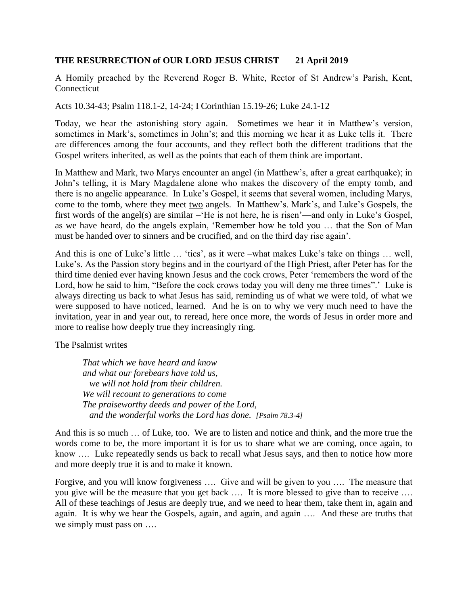## **THE RESURRECTION of OUR LORD JESUS CHRIST 21 April 2019**

A Homily preached by the Reverend Roger B. White, Rector of St Andrew's Parish, Kent, Connecticut

Acts 10.34-43; Psalm 118.1-2, 14-24; I Corinthian 15.19-26; Luke 24.1-12

Today, we hear the astonishing story again. Sometimes we hear it in Matthew's version, sometimes in Mark's, sometimes in John's; and this morning we hear it as Luke tells it. There are differences among the four accounts, and they reflect both the different traditions that the Gospel writers inherited, as well as the points that each of them think are important.

In Matthew and Mark, two Marys encounter an angel (in Matthew's, after a great earthquake); in John's telling, it is Mary Magdalene alone who makes the discovery of the empty tomb, and there is no angelic appearance. In Luke's Gospel, it seems that several women, including Marys, come to the tomb, where they meet two angels. In Matthew's. Mark's, and Luke's Gospels, the first words of the angel(s) are similar –'He is not here, he is risen'—and only in Luke's Gospel, as we have heard, do the angels explain, 'Remember how he told you … that the Son of Man must be handed over to sinners and be crucified, and on the third day rise again'.

And this is one of Luke's little … 'tics', as it were –what makes Luke's take on things … well, Luke's. As the Passion story begins and in the courtyard of the High Priest, after Peter has for the third time denied ever having known Jesus and the cock crows, Peter 'remembers the word of the Lord, how he said to him, "Before the cock crows today you will deny me three times".' Luke is always directing us back to what Jesus has said, reminding us of what we were told, of what we were supposed to have noticed, learned. And he is on to why we very much need to have the invitation, year in and year out, to reread, here once more, the words of Jesus in order more and more to realise how deeply true they increasingly ring.

The Psalmist writes

*That which we have heard and know and what our forebears have told us, we will not hold from their children. We will recount to generations to come The praiseworthy deeds and power of the Lord, and the wonderful works the Lord has done. [Psalm 78.3-4]*

And this is so much … of Luke, too. We are to listen and notice and think, and the more true the words come to be, the more important it is for us to share what we are coming, once again, to know …. Luke repeatedly sends us back to recall what Jesus says, and then to notice how more and more deeply true it is and to make it known.

Forgive, and you will know forgiveness …. Give and will be given to you …. The measure that you give will be the measure that you get back …. It is more blessed to give than to receive …. All of these teachings of Jesus are deeply true, and we need to hear them, take them in, again and again. It is why we hear the Gospels, again, and again, and again …. And these are truths that we simply must pass on ….